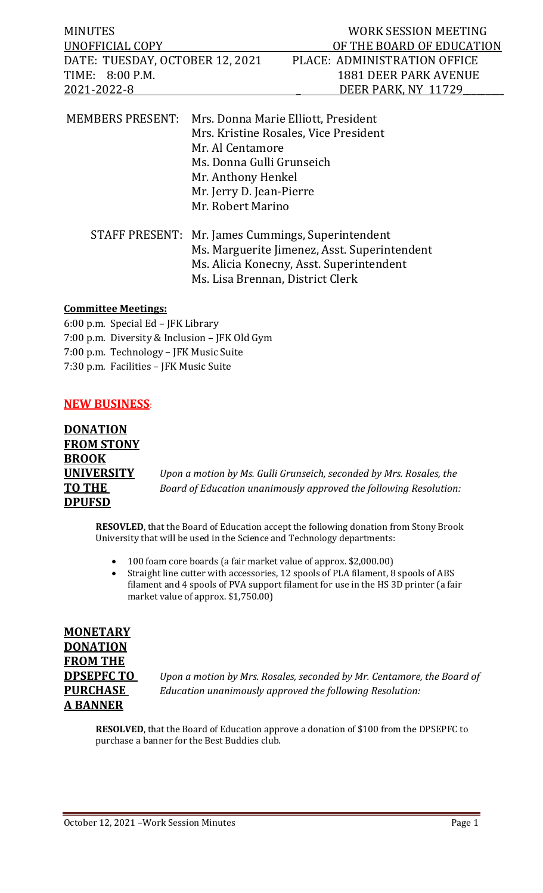| <b>MINUTES</b>                  |                                                                                                                      | WORK SESSION MEETING                                                         |
|---------------------------------|----------------------------------------------------------------------------------------------------------------------|------------------------------------------------------------------------------|
| UNOFFICIAL COPY                 |                                                                                                                      | OF THE BOARD OF EDUCATION                                                    |
| DATE: TUESDAY, OCTOBER 12, 2021 |                                                                                                                      | PLACE: ADMINISTRATION OFFICE                                                 |
| TIME: 8:00 P.M.                 |                                                                                                                      | <b>1881 DEER PARK AVENUE</b>                                                 |
| 2021-2022-8                     |                                                                                                                      | DEER PARK, NY 11729                                                          |
| <b>MEMBERS PRESENT:</b>         | Mr. Al Centamore<br>Ms. Donna Gulli Grunseich<br>Mr. Anthony Henkel<br>Mr. Jerry D. Jean-Pierre<br>Mr. Robert Marino | Mrs. Donna Marie Elliott, President<br>Mrs. Kristine Rosales, Vice President |

| STAFF PRESENT: Mr. James Cummings, Superintendent |  |
|---------------------------------------------------|--|
| Ms. Marguerite Jimenez, Asst. Superintendent      |  |
| Ms. Alicia Konecny, Asst. Superintendent          |  |
| Ms. Lisa Brennan, District Clerk                  |  |
|                                                   |  |

#### **Committee Meetings:**

6:00 p.m. Special Ed – JFK Library 7:00 p.m. Diversity & Inclusion – JFK Old Gym 7:00 p.m. Technology – JFK Music Suite 7:30 p.m. Facilities – JFK Music Suite

### **NEW BUSINESS**:

| <b>DONATION</b>   |
|-------------------|
| <b>FROM STONY</b> |
| <b>BROOK</b>      |
| <b>UNIVERSITY</b> |
| <b>TO THE</b>     |
| <b>DPUFSD</b>     |

Upon a motion by Ms. Gulli Grunseich, seconded by Mrs. Rosales, the *Board of Education unanimously approved the following Resolution:* 

**RESOVLED**, that the Board of Education accept the following donation from Stony Brook University that will be used in the Science and Technology departments:

- 100 foam core boards (a fair market value of approx. \$2,000.00)<br>• Straight line cutter with accessories 12 spools of PLA filament 8
- Straight line cutter with accessories, 12 spools of PLA filament, 8 spools of ABS filament and 4 spools of PVA support filament for use in the HS 3D printer (a fair market value of approx. \$1,750.00)

**MONETARY DONATION FROM THE A BANNER**

**DPSEPFC TO** *Upon a motion by Mrs. Rosales, seconded by Mr. Centamore, the Board of* **PURCHASE** *Education unanimously approved the following Resolution:*

**RESOLVED**, that the Board of Education approve a donation of \$100 from the DPSEPFC to purchase a banner for the Best Buddies club.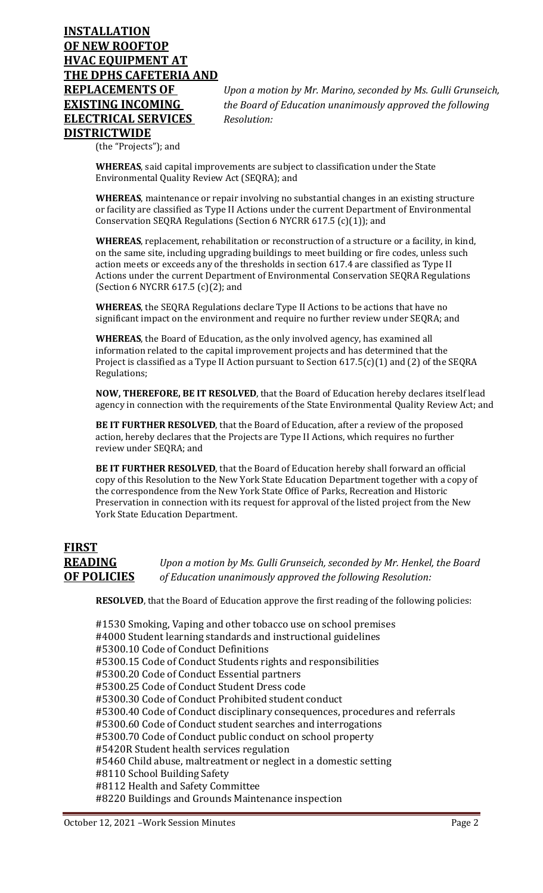# **INSTALLATION OF NEW ROOFTOP HVAC EQUIPMENT AT THE DPHS CAFETERIA AND ELECTRICAL SERVICES** *Resolution:* **DISTRICTWIDE**

**REPLACEMENTS OF** *Upon a motion by Mr. Marino, seconded by Ms. Gulli Grunseich,*  **EXISTING INCOMING** *the Board of Education unanimously approved the following*

(the "Projects"); and

**WHEREAS**, said capital improvements are subject to classification under the State Environmental Quality Review Act (SEQRA); and

**WHEREAS**, maintenance or repair involving no substantial changes in an existing structure or facility are classified as Type II Actions under the current Department of Environmental Conservation SEQRA Regulations (Section 6 NYCRR 617.5 (c)(1)); and

**WHEREAS**, replacement, rehabilitation or reconstruction of a structure or a facility, in kind, on the same site, including upgrading buildings to meet building or fire codes, unless such action meets or exceeds any of the thresholds in section 617.4 are classified as Type II Actions under the current Department of Environmental Conservation SEQRA Regulations (Section 6 NYCRR 617.5 (c)(2); and

**WHEREAS**, the SEQRA Regulations declare Type II Actions to be actions that have no significant impact on the environment and require no further review under SEQRA; and

**WHEREAS**, the Board of Education, as the only involved agency, has examined all information related to the capital improvement projects and has determined that the Project is classified as a Type II Action pursuant to Section 617.5(c)(1) and (2) of the SEQRA Regulations;

**NOW, THEREFORE, BE IT RESOLVED**, that the Board of Education hereby declares itself lead agency in connection with the requirements of the State Environmental Quality Review Act; and

**BE IT FURTHER RESOLVED**, that the Board of Education, after a review of the proposed action, hereby declares that the Projects are Type II Actions, which requires no further review under SEQRA; and

**BE IT FURTHER RESOLVED**, that the Board of Education hereby shall forward an official copy of this Resolution to the New York State Education Department together with a copy of the correspondence from the New York State Office of Parks, Recreation and Historic Preservation in connection with its request for approval of the listed project from the New York State Education Department.

## **FIRST READING** *Upon a motion by Ms. Gulli Grunseich, seconded by Mr. Henkel, the Board*  **OF POLICIES** *of Education unanimously approved the following Resolution:*

**RESOLVED**, that the Board of Education approve the first reading of the following policies:

#1530 Smoking, Vaping and other tobacco use on school premises #4000 Student learning standards and instructional guidelines #5300.10 Code of Conduct Definitions #5300.15 Code of Conduct Students rights and responsibilities #5300.20 Code of Conduct Essential partners #5300.25 Code of Conduct Student Dress code #5300.30 Code of Conduct Prohibited student conduct #5300.40 Code of Conduct disciplinary consequences, procedures and referrals #5300.60 Code of Conduct student searches and interrogations #5300.70 Code of Conduct public conduct on school property #5420R Student health services regulation #5460 Child abuse, maltreatment or neglect in a domestic setting #8110 School Building Safety #8112 Health and Safety Committee #8220 Buildings and Grounds Maintenance inspection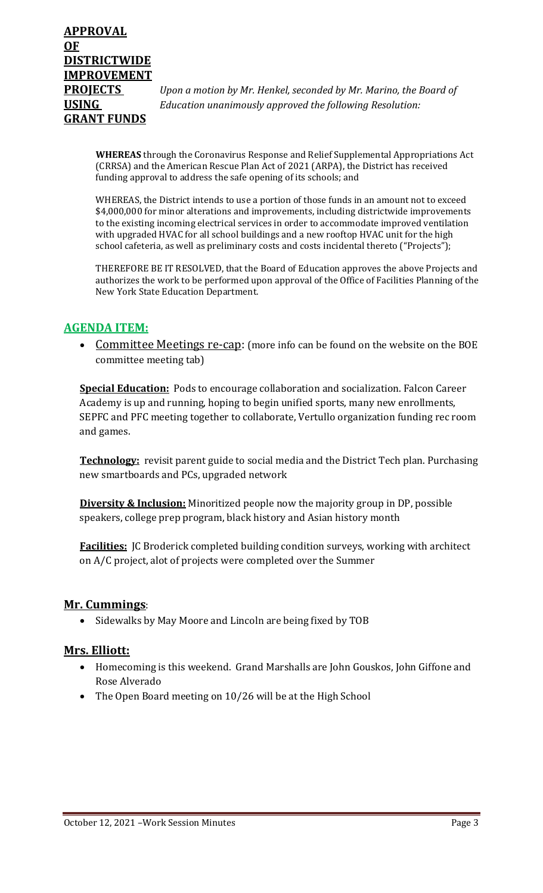**PROJECTS** *Upon a motion by Mr. Henkel, seconded by Mr. Marino, the Board of*  **USING** *Education unanimously approved the following Resolution:*

**WHEREAS** through the Coronavirus Response and Relief Supplemental Appropriations Act (CRRSA) and the American Rescue Plan Act of 2021 (ARPA), the District has received funding approval to address the safe opening of its schools; and

WHEREAS, the District intends to use a portion of those funds in an amount not to exceed \$4,000,000 for minor alterations and improvements, including districtwide improvements to the existing incoming electrical services in order to accommodate improved ventilation with upgraded HVAC for all school buildings and a new rooftop HVAC unit for the high school cafeteria, as well as preliminary costs and costs incidental thereto ("Projects");

THEREFORE BE IT RESOLVED, that the Board of Education approves the above Projects and authorizes the work to be performed upon approval of the Office of Facilities Planning of the New York State Education Department.

### **AGENDA ITEM:**

• Committee Meetings re-cap: (more info can be found on the website on the BOE committee meeting tab)

**Special Education:** Pods to encourage collaboration and socialization. Falcon Career Academy is up and running, hoping to begin unified sports, many new enrollments, SEPFC and PFC meeting together to collaborate, Vertullo organization funding rec room and games.

**Technology:** revisit parent guide to social media and the District Tech plan. Purchasing new smartboards and PCs, upgraded network

**Diversity & Inclusion:** Minoritized people now the majority group in DP, possible speakers, college prep program, black history and Asian history month

**Facilities:** JC Broderick completed building condition surveys, working with architect on A/C project, alot of projects were completed over the Summer

### **Mr. Cummings**:

• Sidewalks by May Moore and Lincoln are being fixed by TOB

### **Mrs. Elliott:**

- Homecoming is this weekend. Grand Marshalls are John Gouskos, John Giffone and Rose Alverado
- The Open Board meeting on 10/26 will be at the High School